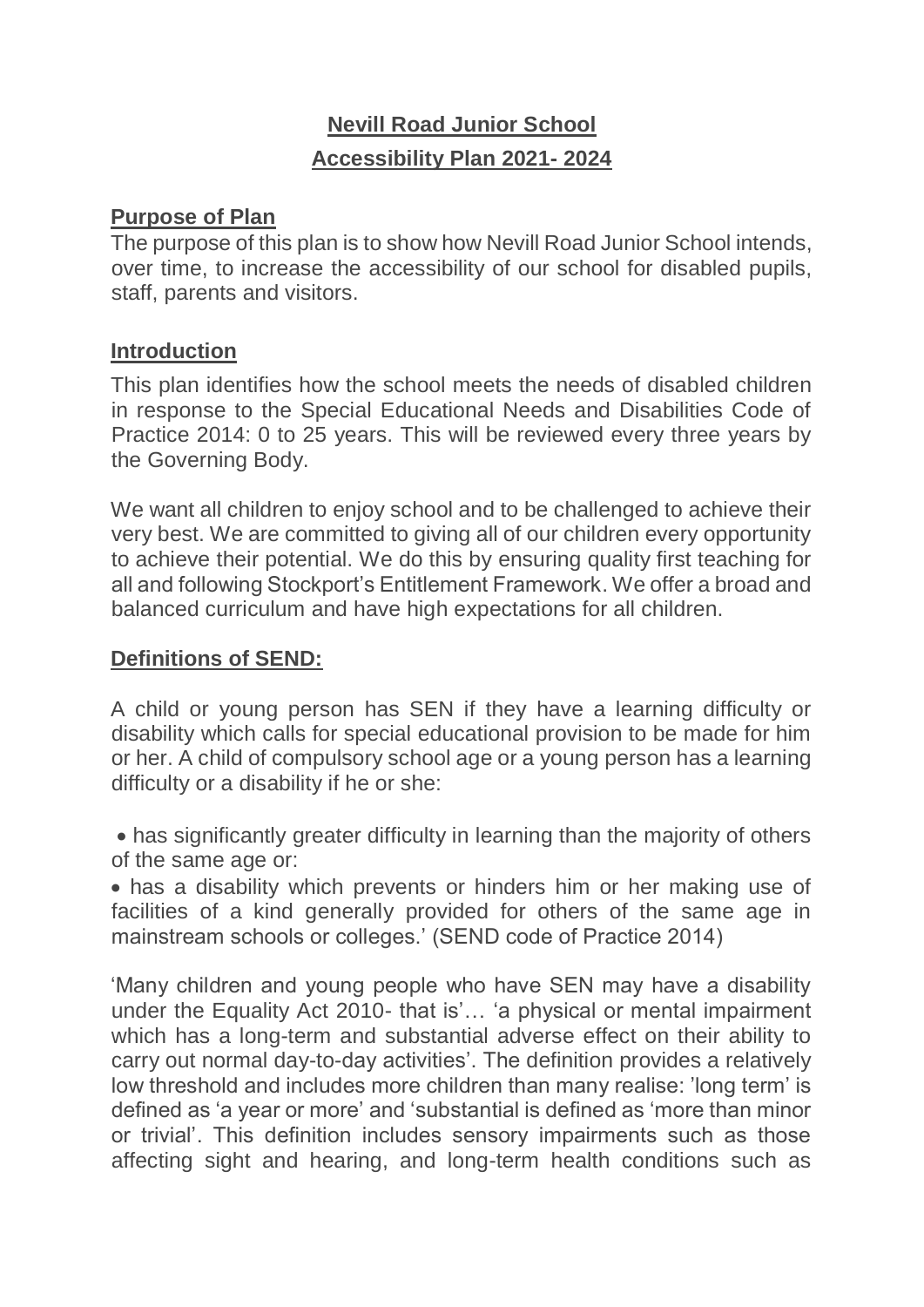# **Nevill Road Junior School Accessibility Plan 2021- 2024**

#### **Purpose of Plan**

The purpose of this plan is to show how Nevill Road Junior School intends, over time, to increase the accessibility of our school for disabled pupils, staff, parents and visitors.

#### **Introduction**

This plan identifies how the school meets the needs of disabled children in response to the Special Educational Needs and Disabilities Code of Practice 2014: 0 to 25 years. This will be reviewed every three years by the Governing Body.

We want all children to enjoy school and to be challenged to achieve their very best. We are committed to giving all of our children every opportunity to achieve their potential. We do this by ensuring quality first teaching for all and following Stockport's Entitlement Framework. We offer a broad and balanced curriculum and have high expectations for all children.

#### **Definitions of SEND:**

A child or young person has SEN if they have a learning difficulty or disability which calls for special educational provision to be made for him or her. A child of compulsory school age or a young person has a learning difficulty or a disability if he or she:

 has significantly greater difficulty in learning than the majority of others of the same age or:

 has a disability which prevents or hinders him or her making use of facilities of a kind generally provided for others of the same age in mainstream schools or colleges.' (SEND code of Practice 2014)

'Many children and young people who have SEN may have a disability under the Equality Act 2010- that is'… 'a physical or mental impairment which has a long-term and substantial adverse effect on their ability to carry out normal day-to-day activities'. The definition provides a relatively low threshold and includes more children than many realise: 'long term' is defined as 'a year or more' and 'substantial is defined as 'more than minor or trivial'. This definition includes sensory impairments such as those affecting sight and hearing, and long-term health conditions such as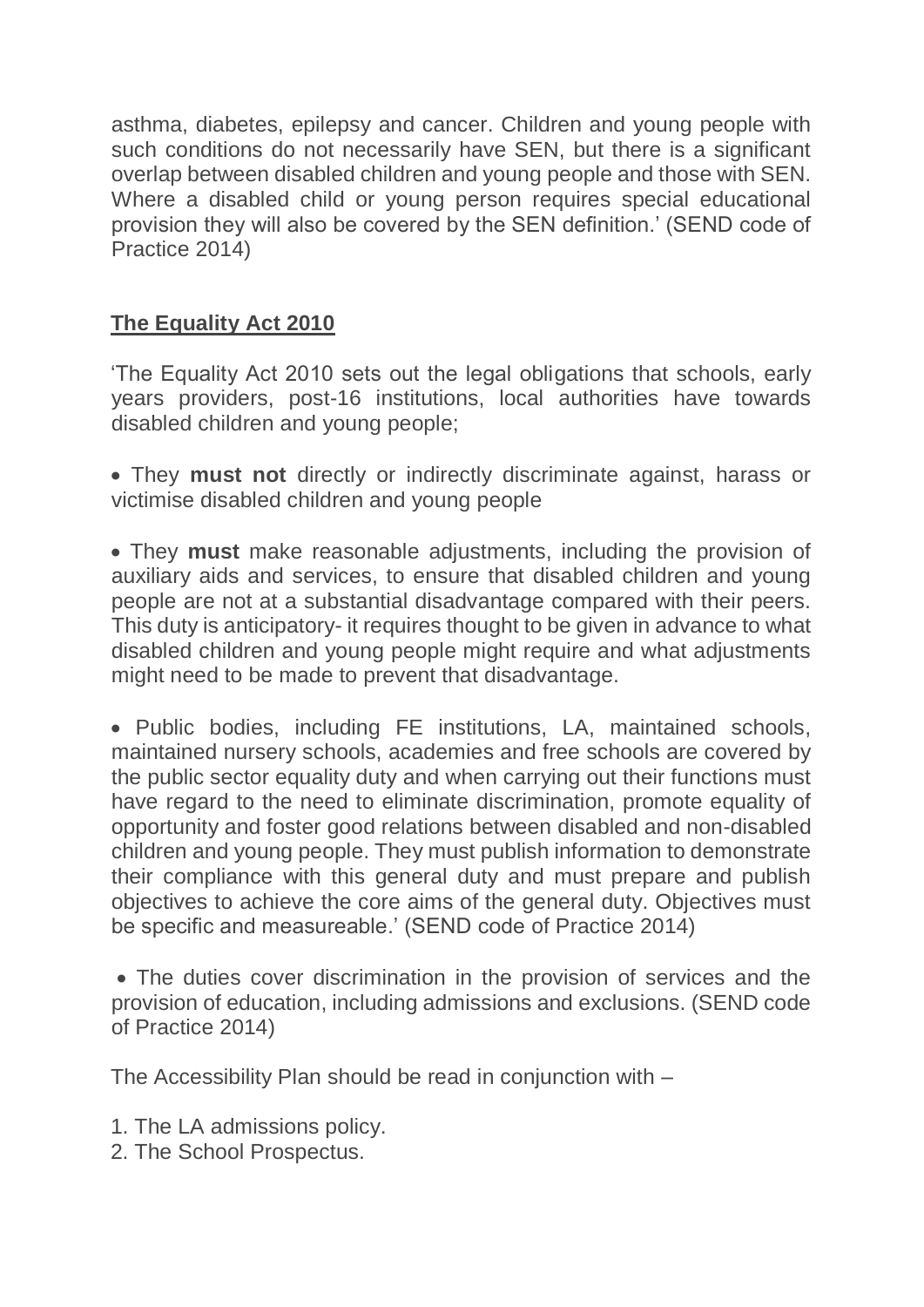asthma, diabetes, epilepsy and cancer. Children and young people with such conditions do not necessarily have SEN, but there is a significant overlap between disabled children and young people and those with SEN. Where a disabled child or young person requires special educational provision they will also be covered by the SEN definition.' (SEND code of Practice 2014)

### **The Equality Act 2010**

'The Equality Act 2010 sets out the legal obligations that schools, early years providers, post-16 institutions, local authorities have towards disabled children and young people;

 They **must not** directly or indirectly discriminate against, harass or victimise disabled children and young people

 They **must** make reasonable adjustments, including the provision of auxiliary aids and services, to ensure that disabled children and young people are not at a substantial disadvantage compared with their peers. This duty is anticipatory- it requires thought to be given in advance to what disabled children and young people might require and what adjustments might need to be made to prevent that disadvantage.

 Public bodies, including FE institutions, LA, maintained schools, maintained nursery schools, academies and free schools are covered by the public sector equality duty and when carrying out their functions must have regard to the need to eliminate discrimination, promote equality of opportunity and foster good relations between disabled and non-disabled children and young people. They must publish information to demonstrate their compliance with this general duty and must prepare and publish objectives to achieve the core aims of the general duty. Objectives must be specific and measureable.' (SEND code of Practice 2014)

 The duties cover discrimination in the provision of services and the provision of education, including admissions and exclusions. (SEND code of Practice 2014)

The Accessibility Plan should be read in conjunction with –

- 1. The LA admissions policy.
- 2. The School Prospectus.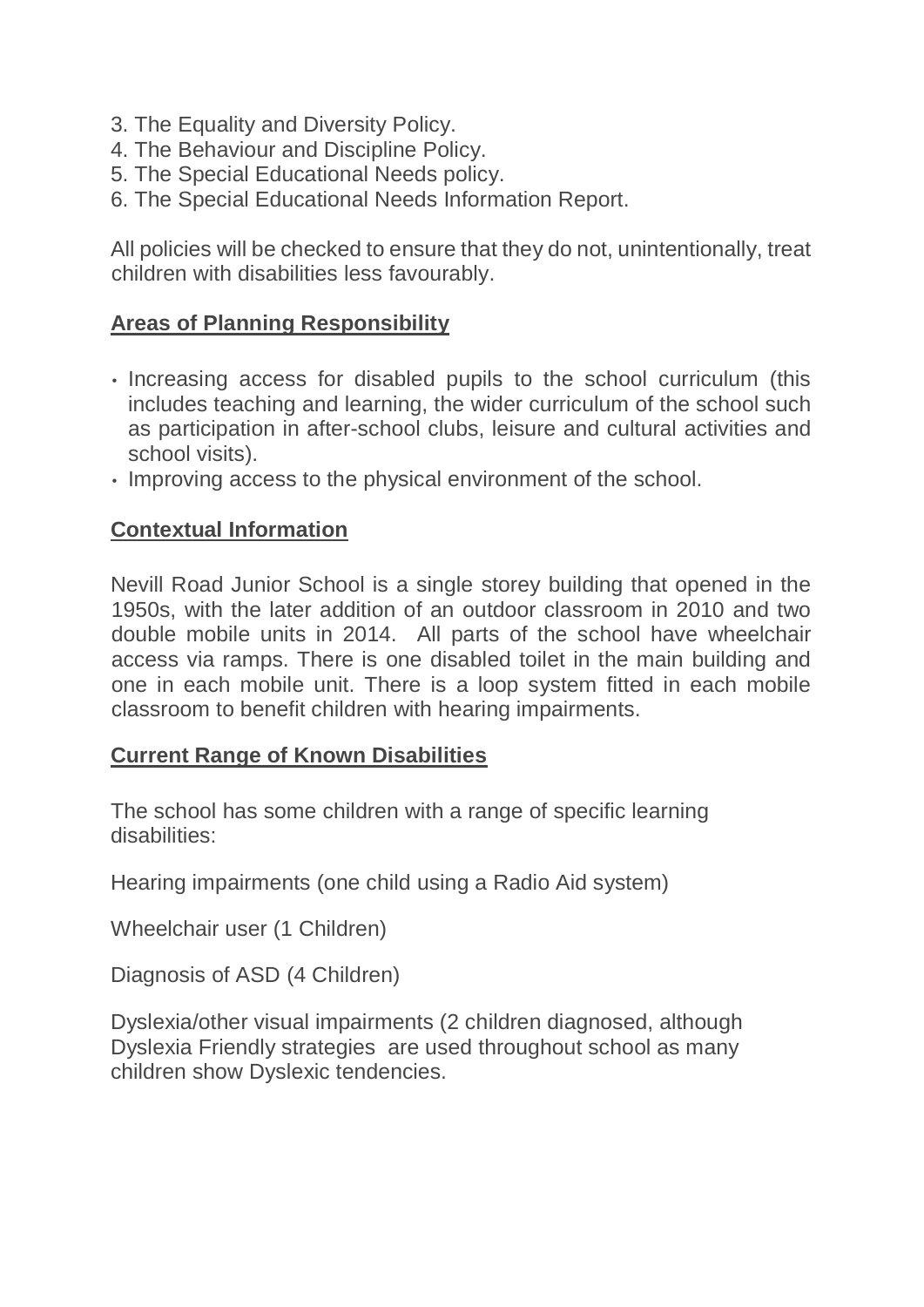- 3. The Equality and Diversity Policy.
- 4. The Behaviour and Discipline Policy.
- 5. The Special Educational Needs policy.
- 6. The Special Educational Needs Information Report.

All policies will be checked to ensure that they do not, unintentionally, treat children with disabilities less favourably.

### **Areas of Planning Responsibility**

- Increasing access for disabled pupils to the school curriculum (this includes teaching and learning, the wider curriculum of the school such as participation in after-school clubs, leisure and cultural activities and school visits).
- Improving access to the physical environment of the school.

### **Contextual Information**

Nevill Road Junior School is a single storey building that opened in the 1950s, with the later addition of an outdoor classroom in 2010 and two double mobile units in 2014. All parts of the school have wheelchair access via ramps. There is one disabled toilet in the main building and one in each mobile unit. There is a loop system fitted in each mobile classroom to benefit children with hearing impairments.

#### **Current Range of Known Disabilities**

The school has some children with a range of specific learning disabilities:

Hearing impairments (one child using a Radio Aid system)

Wheelchair user (1 Children)

Diagnosis of ASD (4 Children)

Dyslexia/other visual impairments (2 children diagnosed, although Dyslexia Friendly strategies are used throughout school as many children show Dyslexic tendencies.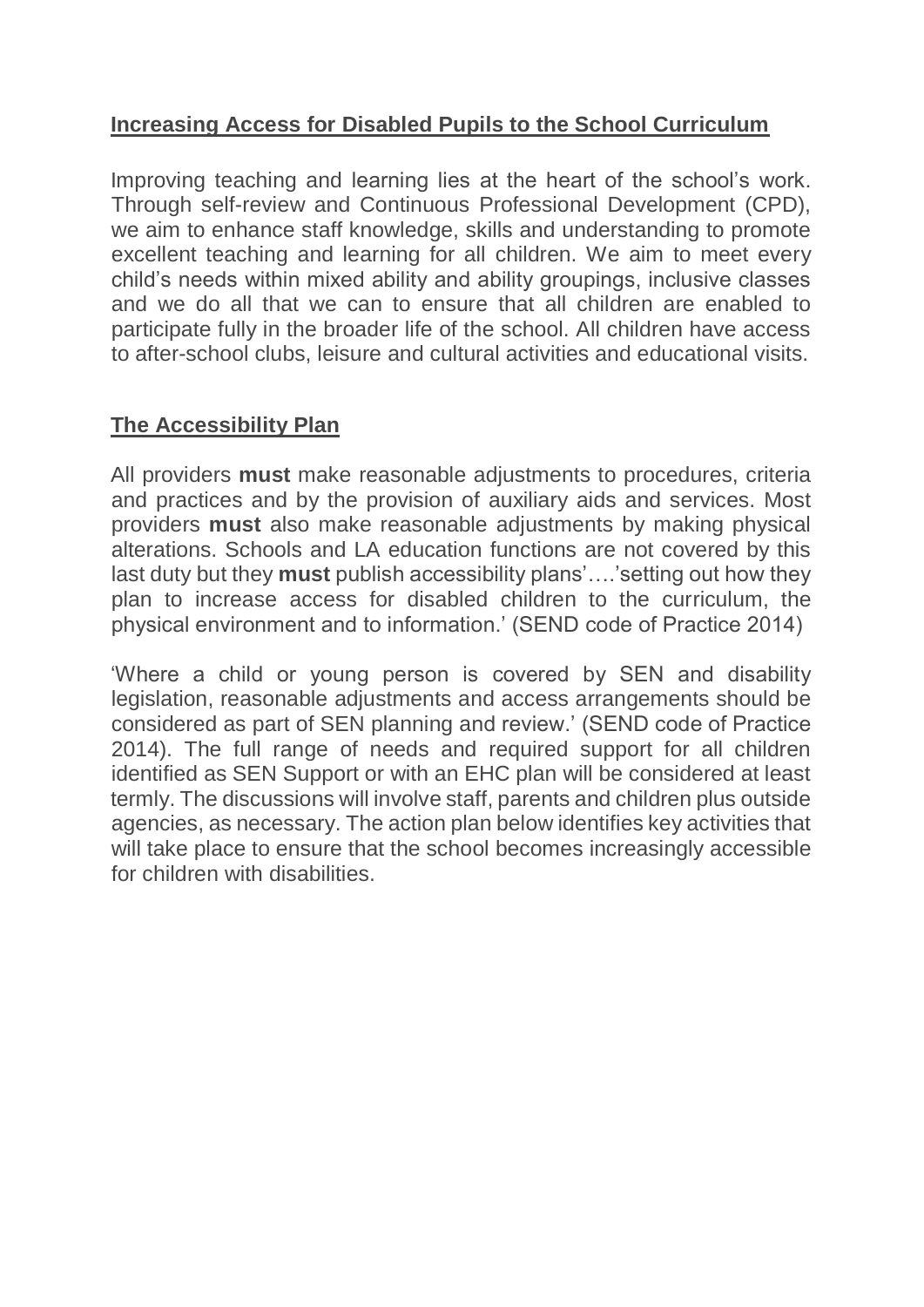#### **Increasing Access for Disabled Pupils to the School Curriculum**

Improving teaching and learning lies at the heart of the school's work. Through self-review and Continuous Professional Development (CPD), we aim to enhance staff knowledge, skills and understanding to promote excellent teaching and learning for all children. We aim to meet every child's needs within mixed ability and ability groupings, inclusive classes and we do all that we can to ensure that all children are enabled to participate fully in the broader life of the school. All children have access to after-school clubs, leisure and cultural activities and educational visits.

### **The Accessibility Plan**

All providers **must** make reasonable adjustments to procedures, criteria and practices and by the provision of auxiliary aids and services. Most providers **must** also make reasonable adjustments by making physical alterations. Schools and LA education functions are not covered by this last duty but they **must** publish accessibility plans'….'setting out how they plan to increase access for disabled children to the curriculum, the physical environment and to information.' (SEND code of Practice 2014)

'Where a child or young person is covered by SEN and disability legislation, reasonable adjustments and access arrangements should be considered as part of SEN planning and review.' (SEND code of Practice 2014). The full range of needs and required support for all children identified as SEN Support or with an EHC plan will be considered at least termly. The discussions will involve staff, parents and children plus outside agencies, as necessary. The action plan below identifies key activities that will take place to ensure that the school becomes increasingly accessible for children with disabilities.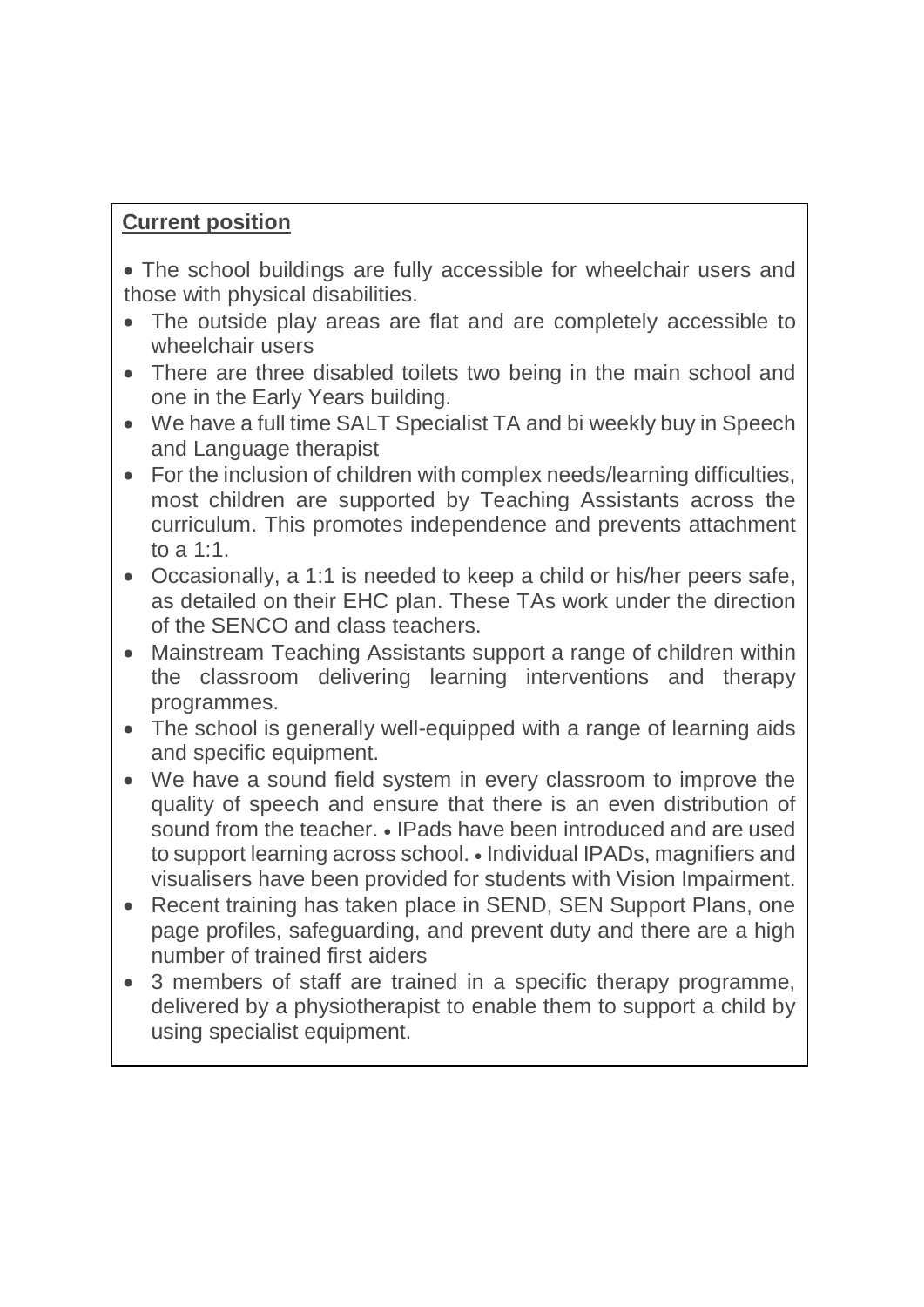# **Current position**

 The school buildings are fully accessible for wheelchair users and those with physical disabilities.

- The outside play areas are flat and are completely accessible to wheelchair users
- There are three disabled toilets two being in the main school and one in the Early Years building.
- We have a full time SALT Specialist TA and bi weekly buy in Speech and Language therapist
- For the inclusion of children with complex needs/learning difficulties, most children are supported by Teaching Assistants across the curriculum. This promotes independence and prevents attachment to a 1:1.
- Occasionally, a 1:1 is needed to keep a child or his/her peers safe, as detailed on their EHC plan. These TAs work under the direction of the SENCO and class teachers.
- Mainstream Teaching Assistants support a range of children within the classroom delivering learning interventions and therapy programmes.
- The school is generally well-equipped with a range of learning aids and specific equipment.
- We have a sound field system in every classroom to improve the quality of speech and ensure that there is an even distribution of sound from the teacher. • IPads have been introduced and are used to support learning across school. • Individual IPADs, magnifiers and visualisers have been provided for students with Vision Impairment.
- Recent training has taken place in SEND, SEN Support Plans, one page profiles, safeguarding, and prevent duty and there are a high number of trained first aiders
- 3 members of staff are trained in a specific therapy programme, delivered by a physiotherapist to enable them to support a child by using specialist equipment.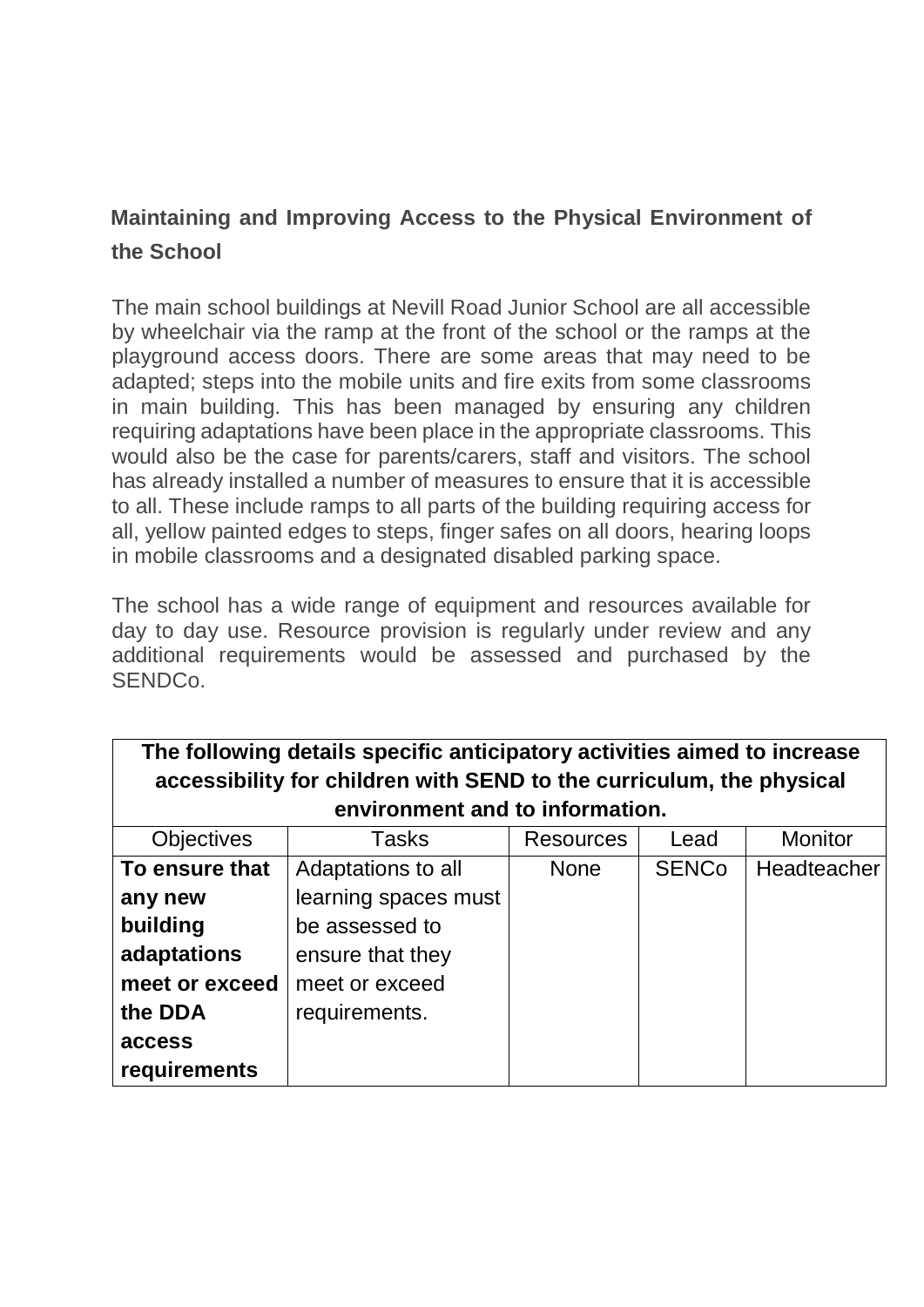# **Maintaining and Improving Access to the Physical Environment of the School**

The main school buildings at Nevill Road Junior School are all accessible by wheelchair via the ramp at the front of the school or the ramps at the playground access doors. There are some areas that may need to be adapted; steps into the mobile units and fire exits from some classrooms in main building. This has been managed by ensuring any children requiring adaptations have been place in the appropriate classrooms. This would also be the case for parents/carers, staff and visitors. The school has already installed a number of measures to ensure that it is accessible to all. These include ramps to all parts of the building requiring access for all, yellow painted edges to steps, finger safes on all doors, hearing loops in mobile classrooms and a designated disabled parking space.

The school has a wide range of equipment and resources available for day to day use. Resource provision is regularly under review and any additional requirements would be assessed and purchased by the SENDCo.

| The following details specific anticipatory activities aimed to increase<br>accessibility for children with SEND to the curriculum, the physical |                                 |                  |              |                    |  |  |
|--------------------------------------------------------------------------------------------------------------------------------------------------|---------------------------------|------------------|--------------|--------------------|--|--|
|                                                                                                                                                  | environment and to information. |                  |              |                    |  |  |
| <b>Objectives</b>                                                                                                                                | Tasks                           | <b>Resources</b> | Lead         | <b>Monitor</b>     |  |  |
| To ensure that                                                                                                                                   | Adaptations to all              | <b>None</b>      | <b>SENCo</b> | <b>Headteacher</b> |  |  |
| any new                                                                                                                                          | learning spaces must            |                  |              |                    |  |  |
| building                                                                                                                                         | be assessed to                  |                  |              |                    |  |  |
| adaptations                                                                                                                                      | ensure that they                |                  |              |                    |  |  |
| meet or exceed                                                                                                                                   | meet or exceed                  |                  |              |                    |  |  |
| the DDA                                                                                                                                          | requirements.                   |                  |              |                    |  |  |
| access                                                                                                                                           |                                 |                  |              |                    |  |  |
| requirements                                                                                                                                     |                                 |                  |              |                    |  |  |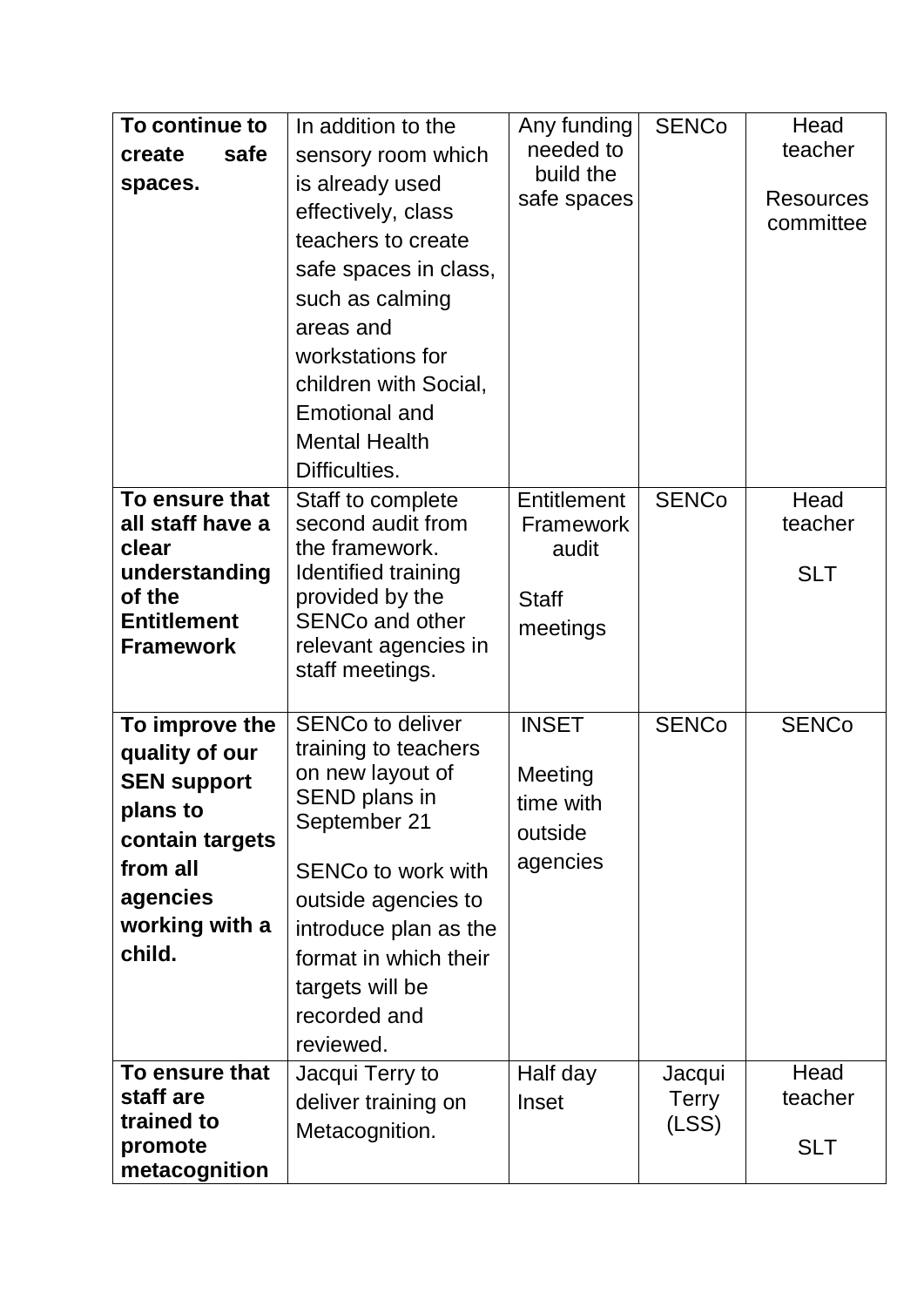| To continue to<br>safe<br>create<br>spaces.                                                                                               | In addition to the<br>sensory room which<br>is already used<br>effectively, class<br>teachers to create<br>safe spaces in class,<br>such as calming<br>areas and<br>workstations for<br>children with Social,<br><b>Emotional and</b><br><b>Mental Health</b><br>Difficulties. | Any funding<br>needed to<br>build the<br>safe spaces          | <b>SENCo</b>                    | Head<br>teacher<br><b>Resources</b><br>committee |
|-------------------------------------------------------------------------------------------------------------------------------------------|--------------------------------------------------------------------------------------------------------------------------------------------------------------------------------------------------------------------------------------------------------------------------------|---------------------------------------------------------------|---------------------------------|--------------------------------------------------|
| To ensure that<br>all staff have a<br>clear<br>understanding<br>of the<br><b>Entitlement</b><br><b>Framework</b>                          | Staff to complete<br>second audit from<br>the framework.<br>Identified training<br>provided by the<br><b>SENCo and other</b><br>relevant agencies in<br>staff meetings.                                                                                                        | Entitlement<br>Framework<br>audit<br><b>Staff</b><br>meetings | <b>SENCo</b>                    | Head<br>teacher<br><b>SLT</b>                    |
| To improve the<br>quality of our<br><b>SEN support</b><br>plans to<br>contain targets<br>from all<br>agencies<br>working with a<br>child. | <b>SENCo to deliver</b><br>training to teachers<br>on new layout of<br>SEND plans in<br>September 21<br><b>SENCo to work with</b><br>outside agencies to<br>introduce plan as the<br>format in which their<br>targets will be<br>recorded and<br>reviewed.                     | <b>INSET</b><br>Meeting<br>time with<br>outside<br>agencies   | <b>SENCo</b>                    | <b>SENCo</b>                                     |
| To ensure that<br>staff are<br>trained to<br>promote<br>metacognition                                                                     | Jacqui Terry to<br>deliver training on<br>Metacognition.                                                                                                                                                                                                                       | Half day<br>Inset                                             | Jacqui<br><b>Terry</b><br>(LSS) | Head<br>teacher<br><b>SLT</b>                    |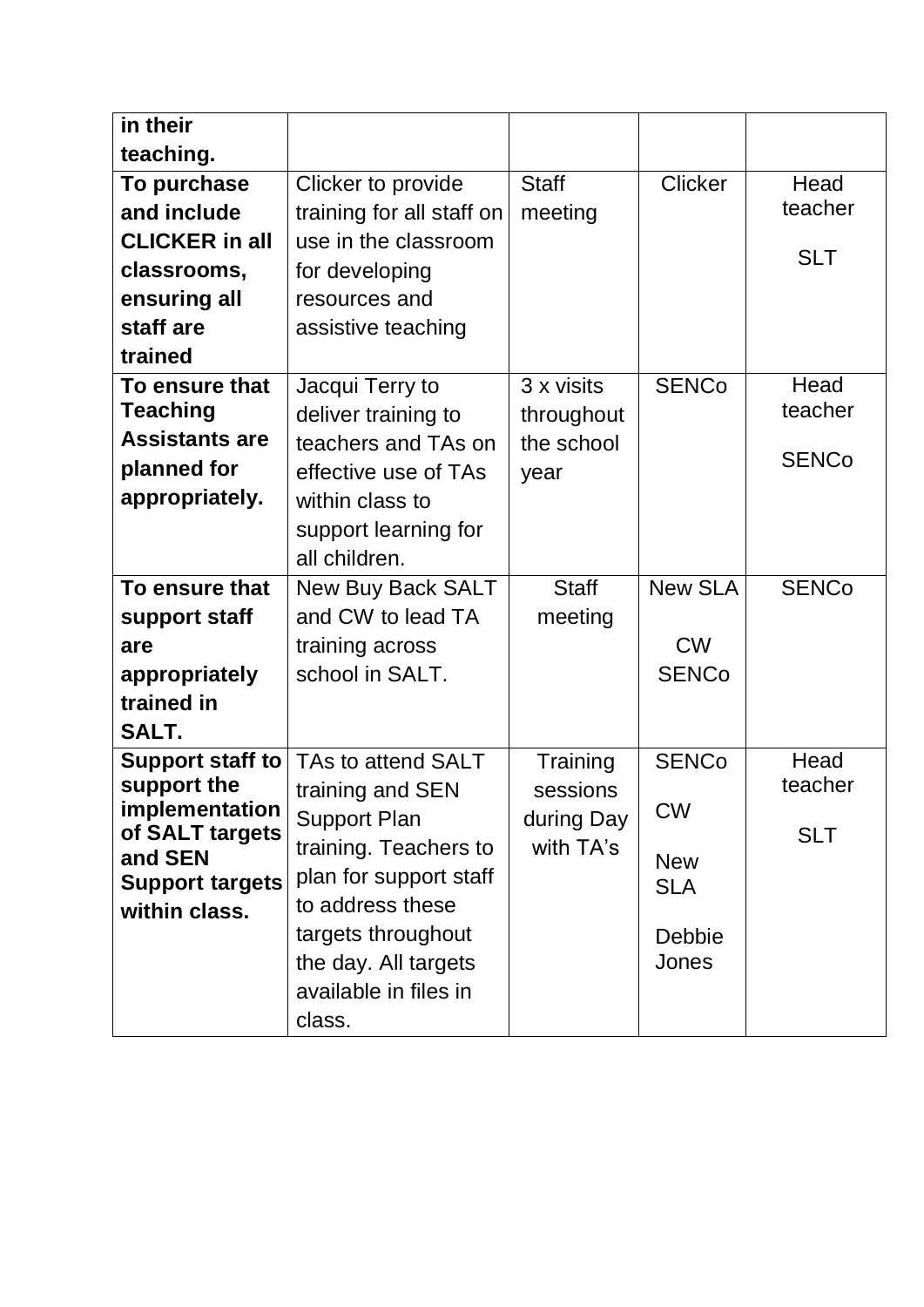| in their                   |                           |              |                |              |
|----------------------------|---------------------------|--------------|----------------|--------------|
| teaching.                  |                           |              |                |              |
| To purchase                | Clicker to provide        | <b>Staff</b> | <b>Clicker</b> | Head         |
| and include                | training for all staff on | meeting      |                | teacher      |
| <b>CLICKER in all</b>      | use in the classroom      |              |                |              |
| classrooms,                | for developing            |              |                | <b>SLT</b>   |
| ensuring all               | resources and             |              |                |              |
| staff are                  | assistive teaching        |              |                |              |
| trained                    |                           |              |                |              |
| To ensure that             | Jacqui Terry to           | 3 x visits   | <b>SENCo</b>   | Head         |
| <b>Teaching</b>            | deliver training to       | throughout   |                | teacher      |
| <b>Assistants are</b>      | teachers and TAs on       | the school   |                | <b>SENCo</b> |
| planned for                | effective use of TAs      | year         |                |              |
| appropriately.             | within class to           |              |                |              |
|                            | support learning for      |              |                |              |
|                            | all children.             |              |                |              |
|                            |                           |              | <b>New SLA</b> |              |
| To ensure that             | <b>New Buy Back SALT</b>  | <b>Staff</b> |                | <b>SENCo</b> |
| support staff              | and CW to lead TA         | meeting      |                |              |
| are                        | training across           |              | <b>CW</b>      |              |
| appropriately              | school in SALT.           |              | <b>SENCo</b>   |              |
| trained in                 |                           |              |                |              |
| SALT.                      |                           |              |                |              |
| Support staff to           | TAs to attend SALT        | Training     | <b>SENCo</b>   | Head         |
| support the                | training and SEN          | sessions     |                | teacher      |
| implementation             | <b>Support Plan</b>       | during Day   | <b>CW</b>      |              |
| of SALT targets<br>and SEN | training. Teachers to     | with TA's    |                | <b>SLT</b>   |
| <b>Support targets</b>     | plan for support staff    |              | <b>New</b>     |              |
| within class.              | to address these          |              | <b>SLA</b>     |              |
|                            | targets throughout        |              | Debbie         |              |
|                            | the day. All targets      |              | Jones          |              |
|                            | available in files in     |              |                |              |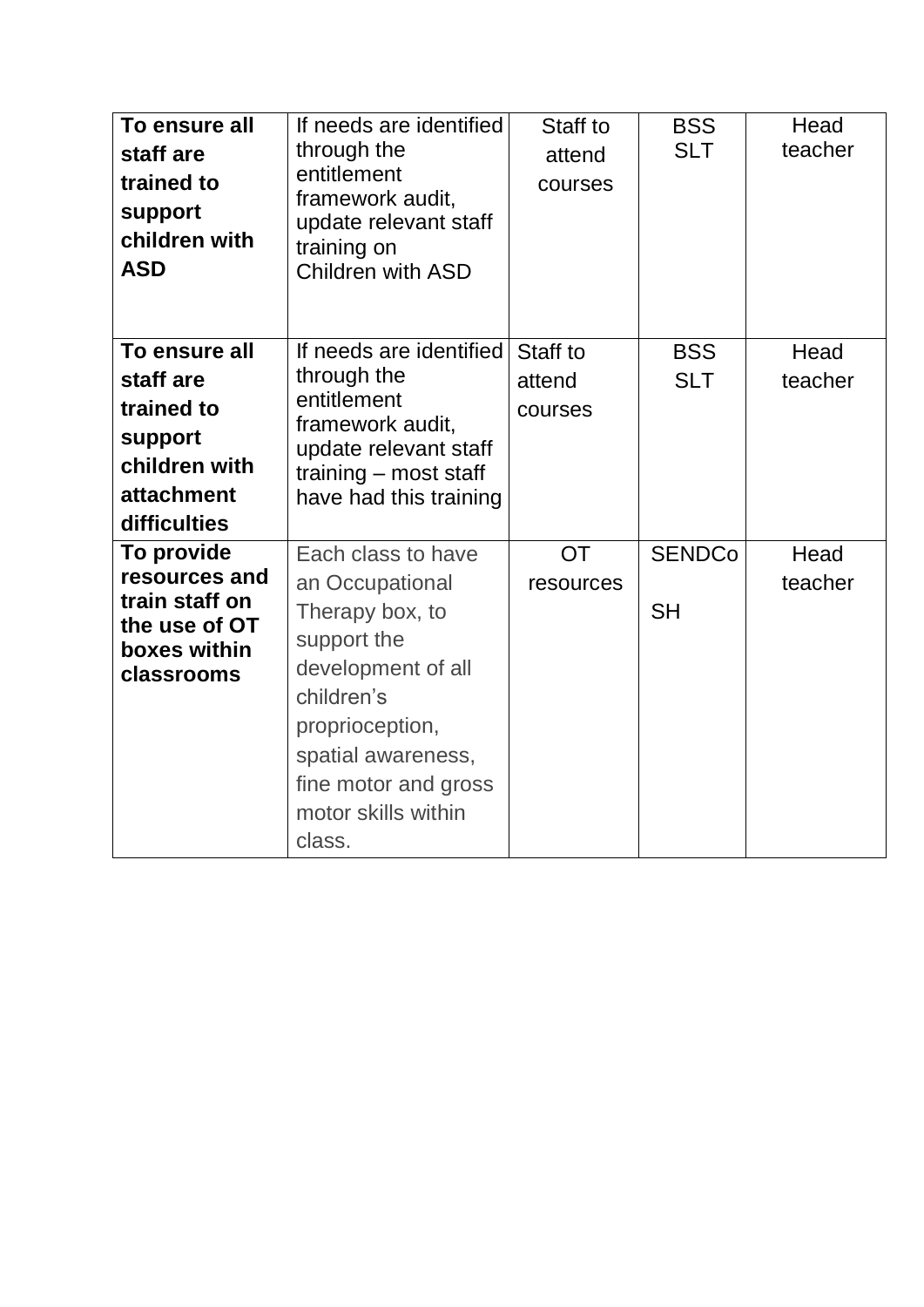| To ensure all<br>staff are<br>trained to<br>support<br>children with<br><b>ASD</b>                 | If needs are identified<br>through the<br>entitlement<br>framework audit,<br>update relevant staff<br>training on<br><b>Children with ASD</b>                                                                 | Staff to<br>attend<br>courses | <b>BSS</b><br><b>SLT</b>   | Head<br>teacher |
|----------------------------------------------------------------------------------------------------|---------------------------------------------------------------------------------------------------------------------------------------------------------------------------------------------------------------|-------------------------------|----------------------------|-----------------|
| To ensure all<br>staff are<br>trained to<br>support<br>children with<br>attachment<br>difficulties | If needs are identified<br>through the<br>entitlement<br>framework audit,<br>update relevant staff<br>training – most staff<br>have had this training                                                         | Staff to<br>attend<br>courses | <b>BSS</b><br><b>SLT</b>   | Head<br>teacher |
| To provide<br>resources and<br>train staff on<br>the use of OT<br>boxes within<br>classrooms       | Each class to have<br>an Occupational<br>Therapy box, to<br>support the<br>development of all<br>children's<br>proprioception,<br>spatial awareness,<br>fine motor and gross<br>motor skills within<br>class. | <b>OT</b><br>resources        | <b>SENDCo</b><br><b>SH</b> | Head<br>teacher |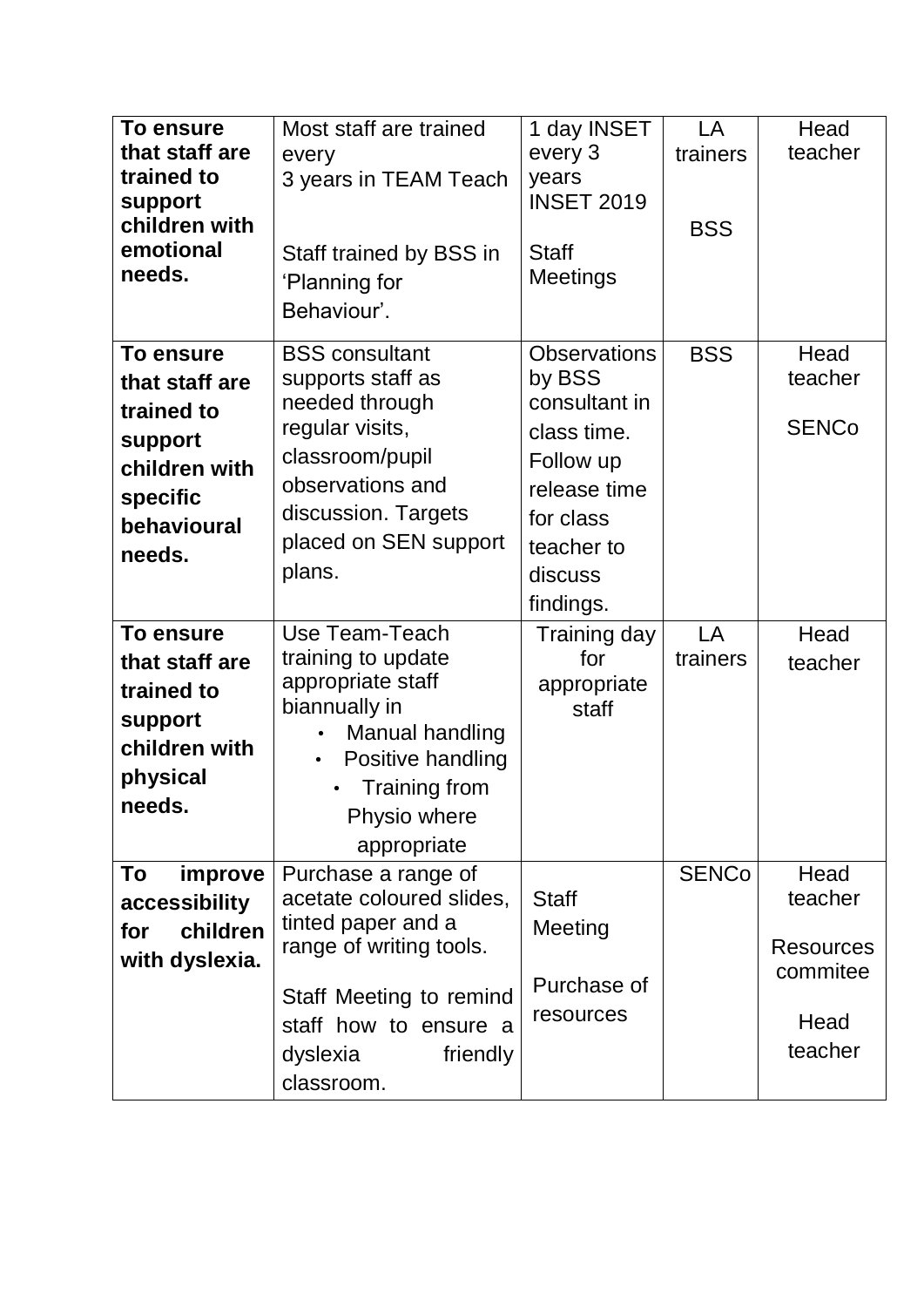| To ensure<br>that staff are<br>trained to<br>support<br>children with<br>emotional<br>needs.                                                                                                                     | Most staff are trained<br>every<br>3 years in TEAM Teach<br>Staff trained by BSS in<br>'Planning for<br>Behaviour'.                                                                                                                                                                                                                                         | 1 day INSET<br>every 3<br>years<br><b>INSET 2019</b><br><b>Staff</b><br><b>Meetings</b>                                                                                                      | LA<br>trainers<br><b>BSS</b> | Head<br>teacher                                                    |
|------------------------------------------------------------------------------------------------------------------------------------------------------------------------------------------------------------------|-------------------------------------------------------------------------------------------------------------------------------------------------------------------------------------------------------------------------------------------------------------------------------------------------------------------------------------------------------------|----------------------------------------------------------------------------------------------------------------------------------------------------------------------------------------------|------------------------------|--------------------------------------------------------------------|
| <b>To ensure</b><br>that staff are<br>trained to<br>support<br>children with<br>specific<br>behavioural<br>needs.<br>To ensure<br>that staff are<br>trained to<br>support<br>children with<br>physical<br>needs. | <b>BSS</b> consultant<br>supports staff as<br>needed through<br>regular visits,<br>classroom/pupil<br>observations and<br>discussion. Targets<br>placed on SEN support<br>plans.<br>Use Team-Teach<br>training to update<br>appropriate staff<br>biannually in<br>Manual handling<br>Positive handling<br>$\bullet$<br><b>Training from</b><br>Physio where | <b>Observations</b><br>by BSS<br>consultant in<br>class time.<br>Follow up<br>release time<br>for class<br>teacher to<br>discuss<br>findings.<br>Training day<br>for<br>appropriate<br>staff | <b>BSS</b><br>LA<br>trainers | Head<br>teacher<br><b>SENCo</b><br>Head<br>teacher                 |
| To<br>improve<br>accessibility<br>children<br>for<br>with dyslexia.                                                                                                                                              | appropriate<br>Purchase a range of<br>acetate coloured slides,<br>tinted paper and a<br>range of writing tools.<br>Staff Meeting to remind<br>staff how to ensure a<br>dyslexia<br>friendly<br>classroom.                                                                                                                                                   | <b>Staff</b><br>Meeting<br>Purchase of<br>resources                                                                                                                                          | <b>SENCo</b>                 | Head<br>teacher<br><b>Resources</b><br>commitee<br>Head<br>teacher |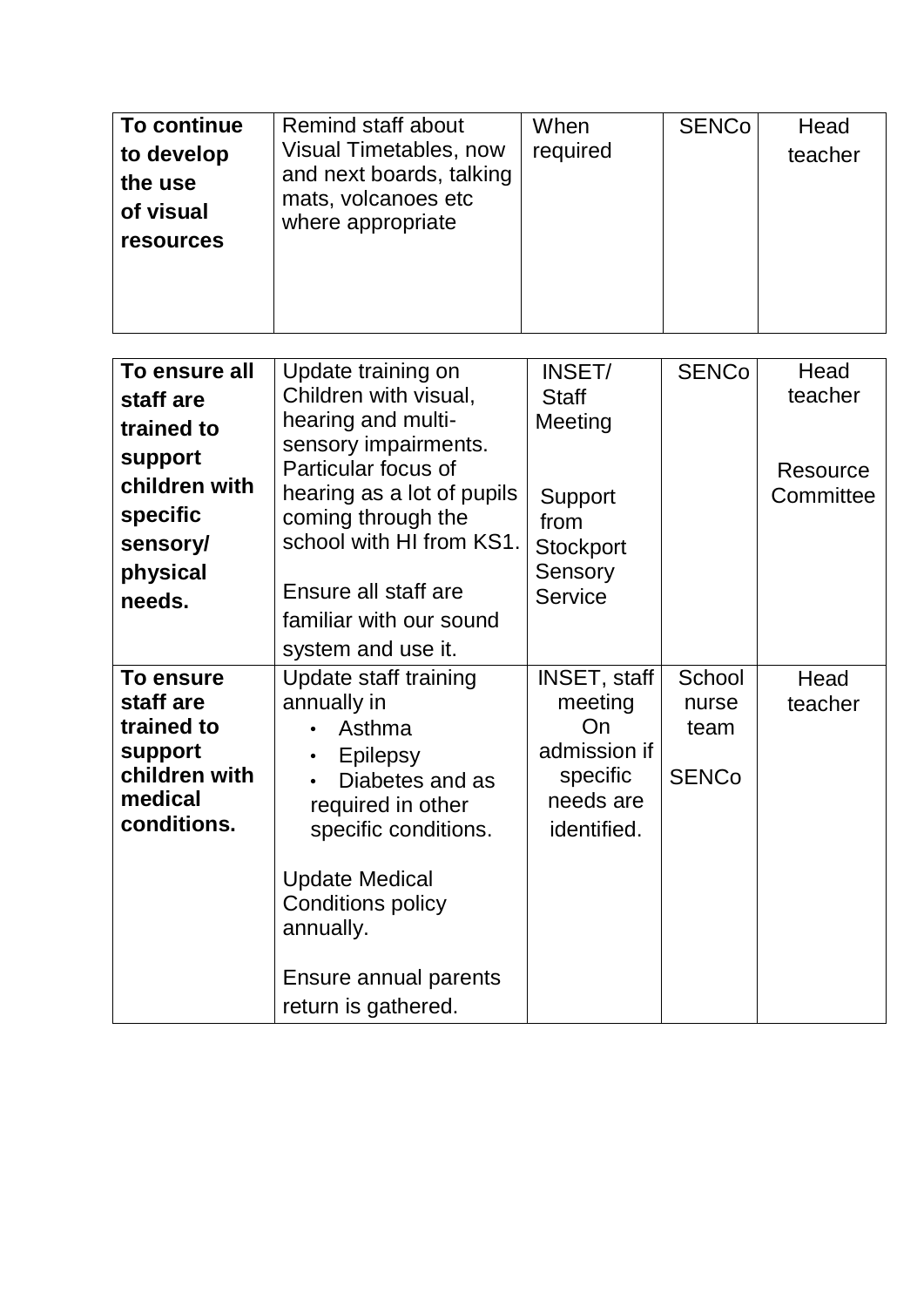| To continue<br>to develop<br>the use<br>of visual<br><b>resources</b>                                              | <b>Remind staff about</b><br>Visual Timetables, now<br>and next boards, talking<br>mats, volcanoes etc<br>where appropriate                                                                                                                                      | When<br>required                                                                                      | <b>SENCo</b>                            | Head<br>teacher                          |
|--------------------------------------------------------------------------------------------------------------------|------------------------------------------------------------------------------------------------------------------------------------------------------------------------------------------------------------------------------------------------------------------|-------------------------------------------------------------------------------------------------------|-----------------------------------------|------------------------------------------|
| To ensure all<br>staff are<br>trained to<br>support<br>children with<br>specific<br>sensory/<br>physical<br>needs. | Update training on<br>Children with visual,<br>hearing and multi-<br>sensory impairments.<br>Particular focus of<br>hearing as a lot of pupils<br>coming through the<br>school with HI from KS1.<br>Ensure all staff are                                         | INSET/<br><b>Staff</b><br>Meeting<br>Support<br>from<br><b>Stockport</b><br>Sensory<br><b>Service</b> | <b>SENCo</b>                            | Head<br>teacher<br>Resource<br>Committee |
|                                                                                                                    | familiar with our sound<br>system and use it.                                                                                                                                                                                                                    |                                                                                                       |                                         |                                          |
| To ensure<br>staff are<br>trained to<br>support<br>children with<br>medical<br>conditions.                         | Update staff training<br>annually in<br>Asthma<br><b>Epilepsy</b><br>Diabetes and as<br>$\bullet$<br>required in other<br>specific conditions.<br><b>Update Medical</b><br><b>Conditions policy</b><br>annually.<br>Ensure annual parents<br>return is gathered. | <b>INSET, staff</b><br>meeting<br>On<br>admission if<br>specific<br>needs are<br>identified.          | School<br>nurse<br>team<br><b>SENCo</b> | Head<br>teacher                          |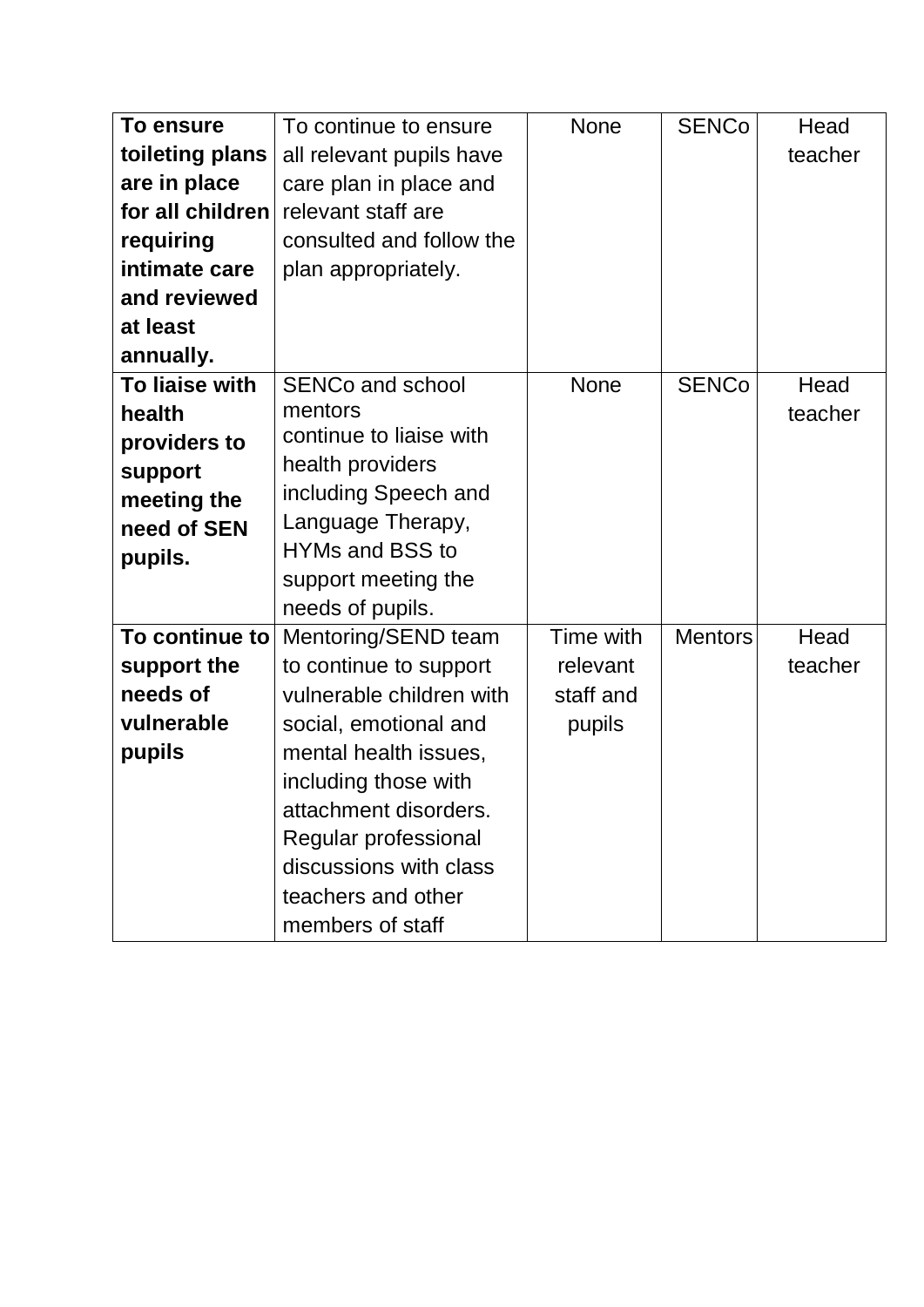| To ensure        | To continue to ensure    | <b>None</b> | <b>SENCo</b>   | Head    |
|------------------|--------------------------|-------------|----------------|---------|
| toileting plans  | all relevant pupils have |             |                | teacher |
| are in place     | care plan in place and   |             |                |         |
| for all children | relevant staff are       |             |                |         |
| requiring        | consulted and follow the |             |                |         |
| intimate care    | plan appropriately.      |             |                |         |
| and reviewed     |                          |             |                |         |
| at least         |                          |             |                |         |
| annually.        |                          |             |                |         |
| To liaise with   | <b>SENCo and school</b>  | <b>None</b> | <b>SENCo</b>   | Head    |
| health           | mentors                  |             |                | teacher |
| providers to     | continue to liaise with  |             |                |         |
| support          | health providers         |             |                |         |
| meeting the      | including Speech and     |             |                |         |
| need of SEN      | Language Therapy,        |             |                |         |
| pupils.          | <b>HYMs and BSS to</b>   |             |                |         |
|                  | support meeting the      |             |                |         |
|                  | needs of pupils.         |             |                |         |
| To continue to   | Mentoring/SEND team      | Time with   | <b>Mentors</b> | Head    |
| support the      | to continue to support   | relevant    |                | teacher |
| needs of         | vulnerable children with | staff and   |                |         |
| vulnerable       | social, emotional and    | pupils      |                |         |
| pupils           | mental health issues,    |             |                |         |
|                  | including those with     |             |                |         |
|                  | attachment disorders.    |             |                |         |
|                  | Regular professional     |             |                |         |
|                  | discussions with class   |             |                |         |
|                  | teachers and other       |             |                |         |
|                  | members of staff         |             |                |         |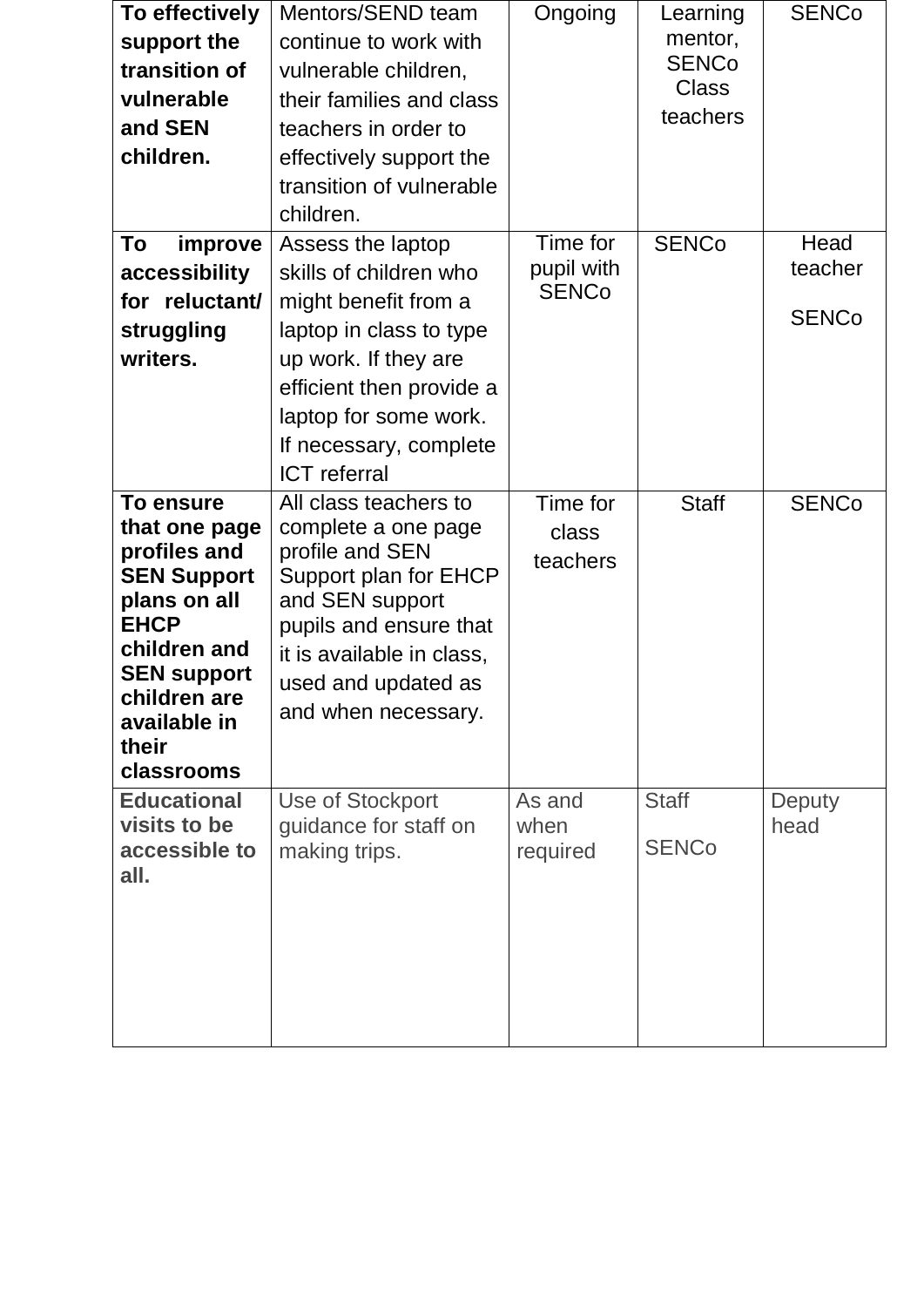| To effectively<br>support the<br>transition of<br>vulnerable<br>and SEN<br>children.                                                                                                                | Mentors/SEND team<br>continue to work with<br>vulnerable children,<br>their families and class<br>teachers in order to<br>effectively support the<br>transition of vulnerable<br>children.                                   | Ongoing                                | Learning<br>mentor,<br><b>SENCo</b><br><b>Class</b><br>teachers | <b>SENCo</b>                    |
|-----------------------------------------------------------------------------------------------------------------------------------------------------------------------------------------------------|------------------------------------------------------------------------------------------------------------------------------------------------------------------------------------------------------------------------------|----------------------------------------|-----------------------------------------------------------------|---------------------------------|
| To<br>improve<br>accessibility<br>for reluctant/<br>struggling<br>writers.                                                                                                                          | Assess the laptop<br>skills of children who<br>might benefit from a<br>laptop in class to type<br>up work. If they are<br>efficient then provide a<br>laptop for some work.<br>If necessary, complete<br><b>ICT</b> referral | Time for<br>pupil with<br><b>SENCo</b> | <b>SENCo</b>                                                    | Head<br>teacher<br><b>SENCo</b> |
| <b>To ensure</b><br>that one page<br>profiles and<br><b>SEN Support</b><br>plans on all<br><b>EHCP</b><br>children and<br><b>SEN support</b><br>children are<br>available in<br>their<br>classrooms | All class teachers to<br>complete a one page<br>profile and SEN<br>Support plan for EHCP<br>and SEN support<br>pupils and ensure that<br>it is available in class,<br>used and updated as<br>and when necessary.             | Time for<br>class<br>teachers          | <b>Staff</b>                                                    | <b>SENCo</b>                    |
| <b>Educational</b><br>visits to be<br>accessible to<br>all.                                                                                                                                         | Use of Stockport<br>guidance for staff on<br>making trips.                                                                                                                                                                   | As and<br>when<br>required             | <b>Staff</b><br><b>SENCo</b>                                    | Deputy<br>head                  |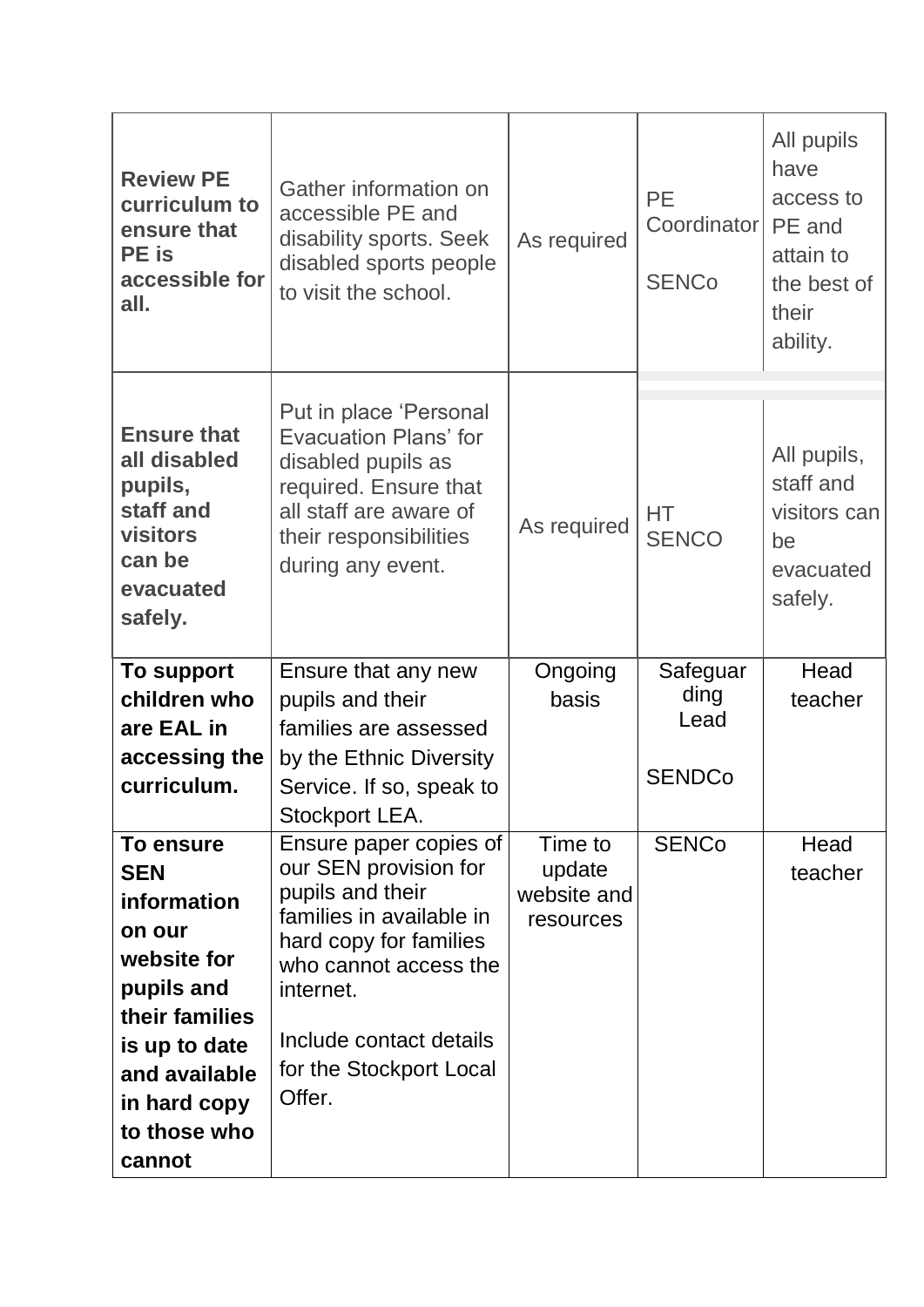| <b>Review PE</b><br>curriculum to<br>ensure that<br><b>PE</b> is<br>accessible for<br>all.                                                                                  | Gather information on<br>accessible PE and<br>disability sports. Seek<br>disabled sports people<br>to visit the school.                                                                                                         | As required                                   | <b>PE</b><br>Coordinator<br><b>SENCo</b>  | All pupils<br>have<br>access to<br>PE and<br>attain to<br>the best of<br>their<br>ability. |
|-----------------------------------------------------------------------------------------------------------------------------------------------------------------------------|---------------------------------------------------------------------------------------------------------------------------------------------------------------------------------------------------------------------------------|-----------------------------------------------|-------------------------------------------|--------------------------------------------------------------------------------------------|
| <b>Ensure that</b><br>all disabled<br>pupils,<br>staff and<br>visitors<br>can be<br>evacuated<br>safely.                                                                    | Put in place 'Personal<br><b>Evacuation Plans' for</b><br>disabled pupils as<br>required. Ensure that<br>all staff are aware of<br>their responsibilities<br>during any event.                                                  | As required                                   | HT.<br><b>SENCO</b>                       | All pupils,<br>staff and<br>visitors can<br>be<br>evacuated<br>safely.                     |
| <b>To support</b><br>children who<br>are EAL in<br>accessing the<br>curriculum.                                                                                             | Ensure that any new<br>pupils and their<br>families are assessed<br>by the Ethnic Diversity<br>Service. If so, speak to<br>Stockport LEA.                                                                                       | Ongoing<br>basis                              | Safeguar<br>ding<br>Lead<br><b>SENDCo</b> | Head<br>teacher                                                                            |
| To ensure<br><b>SEN</b><br>information<br>on our<br>website for<br>pupils and<br>their families<br>is up to date<br>and available<br>in hard copy<br>to those who<br>cannot | Ensure paper copies of<br>our SEN provision for<br>pupils and their<br>families in available in<br>hard copy for families<br>who cannot access the<br>internet.<br>Include contact details<br>for the Stockport Local<br>Offer. | Time to<br>update<br>website and<br>resources | <b>SENCo</b>                              | Head<br>teacher                                                                            |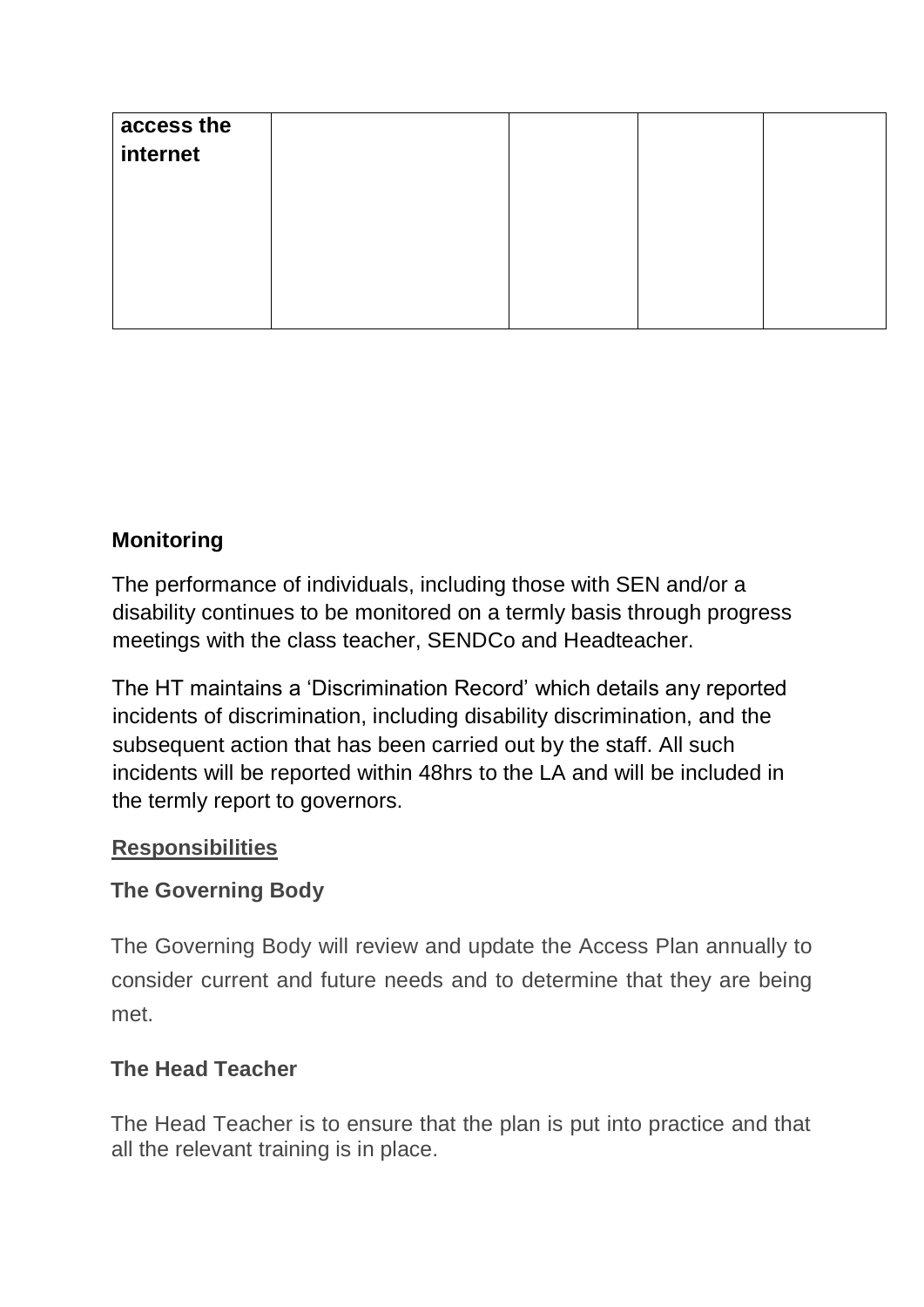| access the |  |  |
|------------|--|--|
| internet   |  |  |
|            |  |  |
|            |  |  |
|            |  |  |
|            |  |  |
|            |  |  |
|            |  |  |

### **Monitoring**

The performance of individuals, including those with SEN and/or a disability continues to be monitored on a termly basis through progress meetings with the class teacher, SENDCo and Headteacher.

The HT maintains a 'Discrimination Record' which details any reported incidents of discrimination, including disability discrimination, and the subsequent action that has been carried out by the staff. All such incidents will be reported within 48hrs to the LA and will be included in the termly report to governors.

#### **Responsibilities**

### **The Governing Body**

The Governing Body will review and update the Access Plan annually to consider current and future needs and to determine that they are being met.

### **The Head Teacher**

The Head Teacher is to ensure that the plan is put into practice and that all the relevant training is in place.